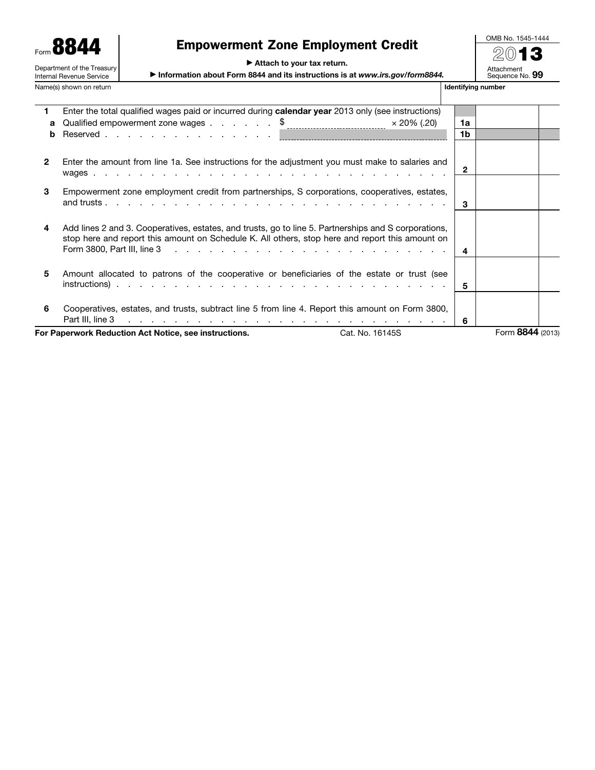|                                                        | Form 8844<br><b>Empowerment Zone Employment Credit</b>                       |                    | OMB <sub>I</sub> |
|--------------------------------------------------------|------------------------------------------------------------------------------|--------------------|------------------|
|                                                        |                                                                              |                    | の)               |
| Department of the Treasury<br>Internal Revenue Service | Attach to your tax return.                                                   |                    |                  |
|                                                        | Information about Form 8844 and its instructions is at www.irs.gov/form8844. |                    | Attach<br>Seaue  |
| Name(s) shown on return                                |                                                                              | Identifying number |                  |

 $\overline{a}$ 

# Empowerment Zone Employment Credit

OMB No. 1545-1444 2013 Attachment<br>Sequence No. **99** 

| 1.           | Enter the total qualified wages paid or incurred during calendar year 2013 only (see instructions)                                                                                                                                                                                                                                                     |              |                  |
|--------------|--------------------------------------------------------------------------------------------------------------------------------------------------------------------------------------------------------------------------------------------------------------------------------------------------------------------------------------------------------|--------------|------------------|
| a            | Qualified empowerment zone wages \$<br>$\times$ 20% (.20)                                                                                                                                                                                                                                                                                              | 1a           |                  |
| b            |                                                                                                                                                                                                                                                                                                                                                        | 1b           |                  |
| $\mathbf{2}$ | Enter the amount from line 1a. See instructions for the adjustment you must make to salaries and                                                                                                                                                                                                                                                       | $\mathbf{2}$ |                  |
| 3            | Empowerment zone employment credit from partnerships, S corporations, cooperatives, estates,                                                                                                                                                                                                                                                           | 3            |                  |
| 4            | Add lines 2 and 3. Cooperatives, estates, and trusts, go to line 5. Partnerships and S corporations,<br>stop here and report this amount on Schedule K. All others, stop here and report this amount on<br>Form 3800, Part III, line 3<br>and the contract of the contract of the contract of the contract of the contract of                          | 4            |                  |
| 5            | Amount allocated to patrons of the cooperative or beneficiaries of the estate or trust (see                                                                                                                                                                                                                                                            | 5.           |                  |
| 6            | Cooperatives, estates, and trusts, subtract line 5 from line 4. Report this amount on Form 3800,<br>Part III, line 3<br>the contract of the contract of the contract of the contract of the contract of the contract of the contract of the contract of the contract of the contract of the contract of the contract of the contract of the contract o | 6            |                  |
|              | For Paperwork Reduction Act Notice, see instructions.<br>Cat. No. 16145S                                                                                                                                                                                                                                                                               |              | Form 8844 (2013) |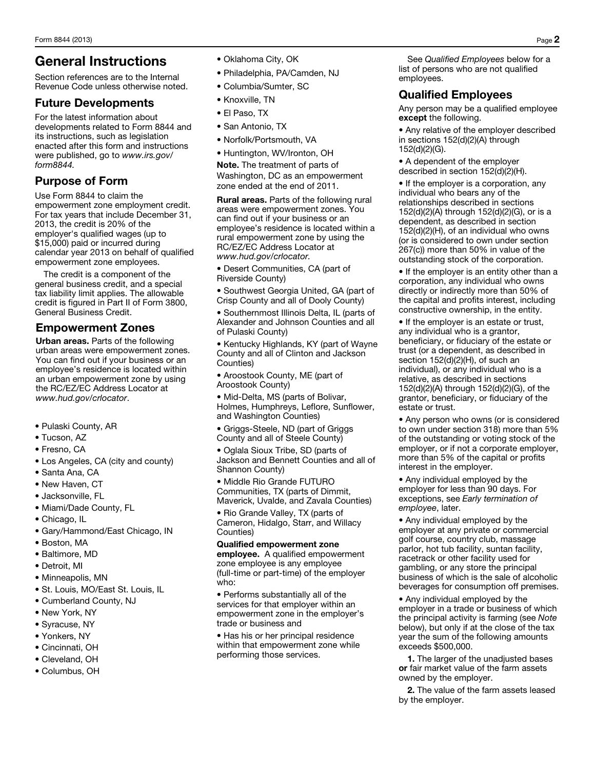# General Instructions

Section references are to the Internal Revenue Code unless otherwise noted.

### Future Developments

For the latest information about developments related to Form 8844 and its instructions, such as legislation enacted after this form and instructions were published, go to *www.irs.gov/ form8844.*

### Purpose of Form

Use Form 8844 to claim the empowerment zone employment credit. For tax years that include December 31, 2013, the credit is 20% of the employer's qualified wages (up to \$15,000) paid or incurred during calendar year 2013 on behalf of qualified empowerment zone employees.

The credit is a component of the general business credit, and a special tax liability limit applies. The allowable credit is figured in Part II of Form 3800, General Business Credit.

### Empowerment Zones

Urban areas. Parts of the following urban areas were empowerment zones. You can find out if your business or an employee's residence is located within an urban empowerment zone by using the RC/EZ/EC Address Locator at *www.hud.gov/crlocator*.

- Pulaski County, AR
- Tucson, AZ
- Fresno, CA
- Los Angeles, CA (city and county)
- Santa Ana, CA
- New Haven, CT
- Jacksonville, FL
- Miami/Dade County, FL
- Chicago, IL
- Gary/Hammond/East Chicago, IN
- Boston, MA
- Baltimore, MD
- Detroit, MI
- Minneapolis, MN
- St. Louis, MO/East St. Louis, IL
- Cumberland County, NJ
- New York, NY
- Syracuse, NY
- Yonkers, NY
- Cincinnati, OH
- Cleveland, OH
- Columbus, OH
- Oklahoma City, OK
- Philadelphia, PA/Camden, NJ
- Columbia/Sumter, SC
- Knoxville, TN
- El Paso, TX
- San Antonio, TX
- Norfolk/Portsmouth, VA

• Huntington, WV/Ironton, OH Note. The treatment of parts of Washington, DC as an empowerment zone ended at the end of 2011.

Rural areas. Parts of the following rural areas were empowerment zones. You can find out if your business or an employee's residence is located within a rural empowerment zone by using the RC/EZ/EC Address Locator at *www.hud.gov/crlocator.*

• Desert Communities, CA (part of Riverside County)

• Southwest Georgia United, GA (part of Crisp County and all of Dooly County)

• Southernmost Illinois Delta, IL (parts of Alexander and Johnson Counties and all of Pulaski County)

• Kentucky Highlands, KY (part of Wayne County and all of Clinton and Jackson Counties)

• Aroostook County, ME (part of Aroostook County)

• Mid-Delta, MS (parts of Bolivar, Holmes, Humphreys, Leflore, Sunflower, and Washington Counties)

• Griggs-Steele, ND (part of Griggs County and all of Steele County)

• Oglala Sioux Tribe, SD (parts of Jackson and Bennett Counties and all of Shannon County)

• Middle Rio Grande FUTURO Communities, TX (parts of Dimmit, Maverick, Uvalde, and Zavala Counties)

• Rio Grande Valley, TX (parts of Cameron, Hidalgo, Starr, and Willacy Counties)

### Qualified empowerment zone

employee. A qualified empowerment zone employee is any employee (full-time or part-time) of the employer who:

• Performs substantially all of the services for that employer within an empowerment zone in the employer's trade or business and

• Has his or her principal residence within that empowerment zone while performing those services.

See *Qualified Employees* below for a list of persons who are not qualified employees.

### Qualified Employees

Any person may be a qualified employee except the following.

• Any relative of the employer described in sections 152(d)(2)(A) through 152(d)(2)(G).

• A dependent of the employer described in section 152(d)(2)(H).

• If the employer is a corporation, any individual who bears any of the relationships described in sections 152(d)(2)(A) through 152(d)(2)(G), or is a dependent, as described in section 152(d)(2)(H), of an individual who owns (or is considered to own under section 267(c)) more than 50% in value of the outstanding stock of the corporation.

• If the employer is an entity other than a corporation, any individual who owns directly or indirectly more than 50% of the capital and profits interest, including constructive ownership, in the entity.

• If the employer is an estate or trust, any individual who is a grantor, beneficiary, or fiduciary of the estate or trust (or a dependent, as described in section 152(d)(2)(H), of such an individual), or any individual who is a relative, as described in sections 152(d)(2)(A) through 152(d)(2)(G), of the grantor, beneficiary, or fiduciary of the estate or trust.

• Any person who owns (or is considered to own under section 318) more than 5% of the outstanding or voting stock of the employer, or if not a corporate employer, more than 5% of the capital or profits interest in the employer.

• Any individual employed by the employer for less than 90 days. For exceptions, see *Early termination of employee*, later.

• Any individual employed by the employer at any private or commercial golf course, country club, massage parlor, hot tub facility, suntan facility, racetrack or other facility used for gambling, or any store the principal business of which is the sale of alcoholic beverages for consumption off premises.

• Any individual employed by the employer in a trade or business of which the principal activity is farming (see *Note*  below), but only if at the close of the tax year the sum of the following amounts exceeds \$500,000.

1. The larger of the unadjusted bases or fair market value of the farm assets owned by the employer.

2. The value of the farm assets leased by the employer.